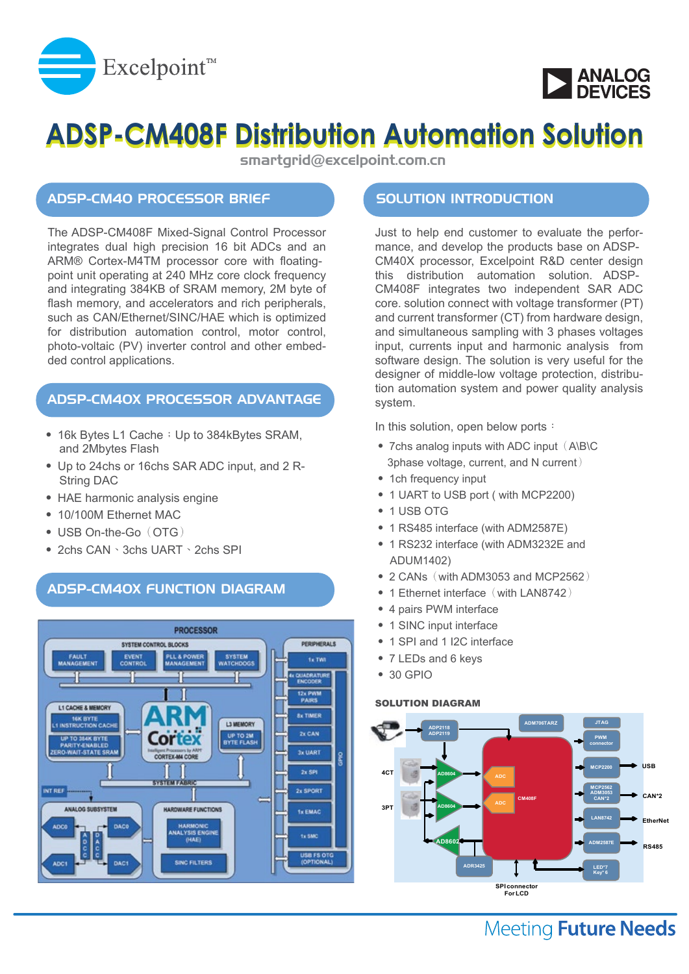



# **ADSP-CM408F Distribution Automation Solution**

smartgrid@excelpoint.com.cn

### ADSP-CM40 PROCESSOR BRIEF

The ADSP-CM408F Mixed-Signal Control Processor integrates dual high precision 16 bit ADCs and an ARM® Cortex-M4TM processor core with floatingpoint unit operating at 240 MHz core clock frequency and integrating 384KB of SRAM memory, 2M byte of flash memory, and accelerators and rich peripherals, such as CAN/Ethernet/SINC/HAE which is optimized for distribution automation control, motor control, photo-voltaic (PV) inverter control and other embedded control applications.

## ADSP-CM40X PROCESSOR ADVANTAGE

- 16k Bytes L1 Cache; Up to 384kBytes SRAM, and 2Mbytes Flash
- ‧ Up to 24chs or 16chs SAR ADC input, and 2 R- String DAC
- HAE harmonic analysis engine
- ‧ 10/100M Ethernet MAC
- USB On-the-Go (OTG)
- ‧ 2chs CAN、3chs UART、2chs SPI

### ADSP-CM40X FUNCTION DIAGRAM



### SOLUTION INTRODUCTION

Just to help end customer to evaluate the performance, and develop the products base on ADSP-CM40X processor, Excelpoint R&D center design this distribution automation solution. ADSP-CM408F integrates two independent SAR ADC core. solution connect with voltage transformer (PT) and current transformer (CT) from hardware design, and simultaneous sampling with 3 phases voltages input, currents input and harmonic analysis from software design. The solution is very useful for the designer of middle-low voltage protection, distribution automation system and power quality analysis system.

In this solution, open below ports:

- $\bullet$  7chs analog inputs with ADC input  $($  A\B\C 3phase voltage, current, and N current)
- 1ch frequency input
- ‧ 1 UART to USB port ( with MCP2200)
- 1 USB OTG
- ‧ 1 RS485 interface (with ADM2587E)
- ‧ 1 RS232 interface (with ADM3232E and ADUM1402)
- $\bullet$  2 CANs (with ADM3053 and MCP2562)
- 1 Ethernet interface (with LAN8742)
- 4 pairs PWM interface
- 1 SINC input interface
- 1 SPI and 1 I2C interface
- 7 LEDs and 6 keys
- ‧ 30 GPIO

### SOLUTION DIAGRAM



# **Meeting Future Needs**